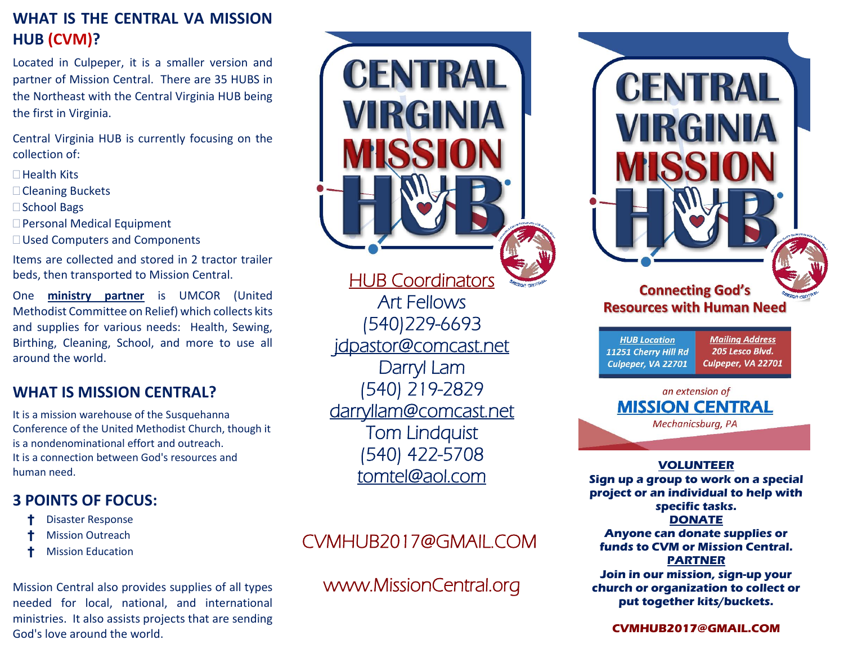### **WHAT IS THE CENTRAL VA MISSION HUB (CVM)?**

Located in Culpeper, it is a smaller version and partner of Mission Central. There are 35 HUBS in the Northeast with the Central Virginia HUB being the first in Virginia.

Central Virginia HUB is currently focusing on the collection of:

- $\Box$ Health Kits
- □ Cleaning Buckets
- □ School Bags
- □ Personal Medical Equipment
- □ Used Computers and Components

Items are collected and stored in 2 tractor trailer beds, then transported to Mission Central.

One **ministry partner** is UMCOR (United Methodist Committee on Relief) which collects kits and supplies for various needs: Health, Sewing, Birthing, Cleaning, School, and more to use all around the world.

### **WHAT IS MISSION CENTRAL?**

It is a mission warehouse of the Susquehanna Conference of the United Methodist Church, though it is a nondenominational effort and outreach. It is a connection between God's resources and human need.

## **3 POINTS OF FOCUS:**

- † Disaster Response
- **Mission Outreach**
- † Mission Education

Mission Central also provides supplies of all types needed for local, national, and international ministries. It also assists projects that are sending God's love around the world.



# CVMHUB2017@GMAIL.COM

# www.MissionCentral.org

| CENTRAL<br>VIRGINIA<br>MISS<br><b>Connecting God's</b><br>SSION CENT<br><b>Resources with Human Need</b> |                                                                 |
|----------------------------------------------------------------------------------------------------------|-----------------------------------------------------------------|
| <b>HUB Location</b><br>11251 Cherry Hill Rd<br>Culpeper, VA 22701                                        | <b>Mailing Address</b><br>205 Lesco Blvd.<br>Culpeper, VA 22701 |
| an extension of<br><b>MISSION CENTRAL</b><br>Mechanicsburg, PA                                           |                                                                 |
|                                                                                                          |                                                                 |

#### **VOLUNTEER**

**Sign up a group to work on a special project or an individual to help with specific tasks. DONATE Anyone can donate supplies or funds to CVM or Mission Central. PARTNER Join in our mission, sign-up your church or organization to collect or put together kits/buckets.**

**CVMHUB2017@GMAIL.COM**